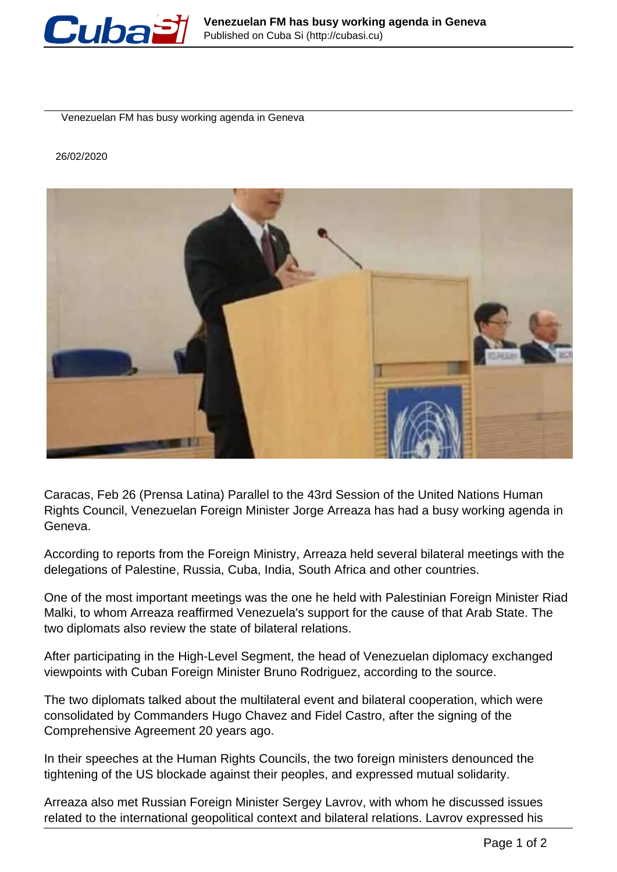

Venezuelan FM has busy working agenda in Geneva

## 26/02/2020



Caracas, Feb 26 (Prensa Latina) Parallel to the 43rd Session of the United Nations Human Rights Council, Venezuelan Foreign Minister Jorge Arreaza has had a busy working agenda in Geneva.

According to reports from the Foreign Ministry, Arreaza held several bilateral meetings with the delegations of Palestine, Russia, Cuba, India, South Africa and other countries.

One of the most important meetings was the one he held with Palestinian Foreign Minister Riad Malki, to whom Arreaza reaffirmed Venezuela's support for the cause of that Arab State. The two diplomats also review the state of bilateral relations.

After participating in the High-Level Segment, the head of Venezuelan diplomacy exchanged viewpoints with Cuban Foreign Minister Bruno Rodriguez, according to the source.

The two diplomats talked about the multilateral event and bilateral cooperation, which were consolidated by Commanders Hugo Chavez and Fidel Castro, after the signing of the Comprehensive Agreement 20 years ago.

In their speeches at the Human Rights Councils, the two foreign ministers denounced the tightening of the US blockade against their peoples, and expressed mutual solidarity.

Arreaza also met Russian Foreign Minister Sergey Lavrov, with whom he discussed issues related to the international geopolitical context and bilateral relations. Lavrov expressed his